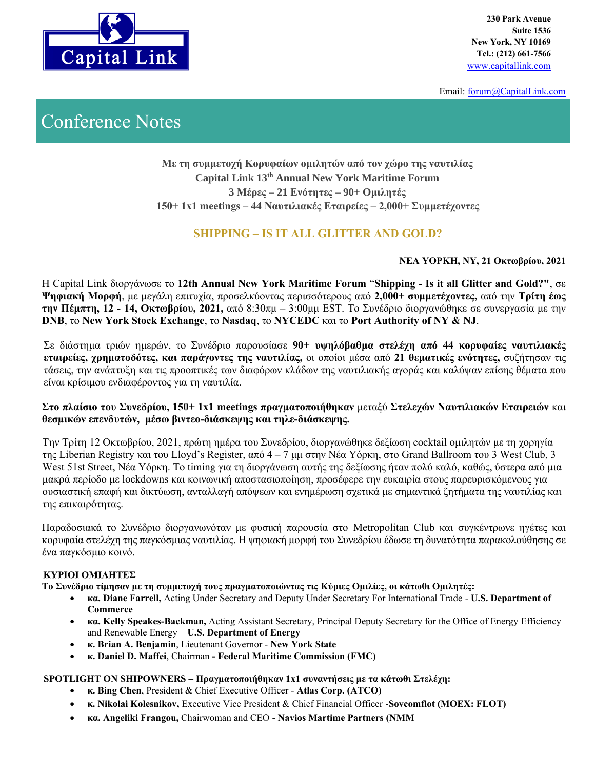

**230 Park Avenue Suite 1536 New York, NY 10169 Tel.: (212) 661-7566**

Email: [forum@CapitalLink.com](mailto:forum@CapitalLink.com) 

# Conference Notes

**Με τη συμμετοχή Κορυφαίων ομιλητών από τον χώρο της ναυτιλίας Capital Link 13th Annual New York Maritime Forum 3 Μέρες – 21 Ενότητες – 90+ Ομιλητές 150+ 1x1 meetings – 44 Ναυτιλιακές Εταιρείες – 2,000+ Συμμετέχοντες**

# **SHIPPING – IS IT ALL GLITTER AND GOLD?**

#### **ΝΕΑ ΥΟΡΚΗ, NY, 21 Οκτωβρίου, 2021**

Η Capital Link διοργάνωσε το **12th Annual New York Maritime Forum** "**Shipping - Is it all Glitter and Gold?"**, σε **Ψηφιακή Μορφή**, με μεγάλη επιτυχία, προσελκύοντας περισσότερους από **2,000+ συμμετέχοντες,** από την **Τρίτη έως την Πέμπτη, 12 - 14, Οκτωβρίου, 2021,** από 8:30πμ – 3:00μμ EST. Το Συνέδριο διοργανώθηκε σε συνεργασία με την **DNB**, το **New York Stock Exchange**, το **Nasdaq**, το **NYCEDC** και το **Port Authority of NY & NJ**.

Σε διάστημα τριών ημερών, το Συνέδριο παρουσίασε **90+ υψηλόβαθμα στελέχη από 44 κορυφαίες ναυτιλιακές εταιρείες, χρηματοδότες, και παράγοντες της ναυτιλίας,** οι οποίοι μέσα από **21 θεματικές ενότητες,** συζήτησαν τις τάσεις, την ανάπτυξη και τις προοπτικές των διαφόρων κλάδων της ναυτιλιακής αγοράς και καλύψαν επίσης θέματα που είναι κρίσιμου ενδιαφέροντος για τη ναυτιλία.

#### **Στο πλαίσιο του Συνεδρίου, 150+ 1x1 meetings πραγματοποιήθηκαν** μεταξύ **Στελεχών Ναυτιλιακών Εταιρειών** και **θεσμικών επενδυτών, μέσω βιντεο-διάσκεψης και τηλε-διάσκεψης.**

Την Τρίτη 12 Οκτωβρίου, 2021, πρώτη ημέρα του Συνεδρίου, διοργανώθηκε δεξίωση cocktail ομιλητών με τη χορηγία της Liberian Registry και του Lloyd's Register, από 4 – 7 μμ στην Νέα Υόρκη, στο Grand Ballroom του 3 West Club, 3 West 51st Street, Νέα Υόρκη. Το timing για τη διοργάνωση αυτής της δεξίωσης ήταν πολύ καλό, καθώς, ύστερα από μια μακρά περίοδο με lockdowns και κοινωνική αποστασιοποίηση, προσέφερε την ευκαιρία στους παρευρισκόμενους για ουσιαστική επαφή και δικτύωση, ανταλλαγή απόψεων και ενημέρωση σχετικά με σημαντικά ζητήματα της ναυτιλίας και της επικαιρότητας.

Παραδοσιακά το Συνέδριο διοργανωνόταν με φυσική παρουσία στο Metropolitan Club και συγκέντρωνε ηγέτες και κορυφαία στελέχη της παγκόσμιας ναυτιλίας. Η ψηφιακή μορφή του Συνεδρίου έδωσε τη δυνατότητα παρακολούθησης σε ένα παγκόσμιο κοινό.

#### **ΚΥΡΙΟΙ ΟΜΙΛΗΤΕΣ**

**Το Συνέδριο τίμησαν με τη συμμετοχή τους πραγματοποιώντας τις Κύριες Ομιλίες, οι κάτωθι Ομιλητές:**

- **κα. Diane Farrell,** Acting Under Secretary and Deputy Under Secretary For International Trade **U.S. Department of Commerce**
- **κα. Kelly Speakes-Backman,** Acting Assistant Secretary, Principal Deputy Secretary for the Office of Energy Efficiency and Renewable Energy – **U.S. Department of Energy**
- **κ. Brian A. Benjamin**, Lieutenant Governor **New York State**
- **κ. Daniel D. Maffei**, Chairman **- Federal Maritime Commission (FMC)**

#### **SPOTLIGHT ON SHIPOWNERS – Πραγματοποιήθηκαν 1x1 συναντήσεις με τα κάτωθι Στελέχη:**

- **κ. Bing Chen**, President & Chief Executive Officer **Atlas Corp. (ATCO)**
- **κ. Nikolai Kolesnikov,** Executive Vice President & Chief Financial Officer -**Sovcomflot (MOEX: FLOT)**
- **κα. Angeliki Frangou,** Chairwoman and CEO **Navios Martime Partners (NMM**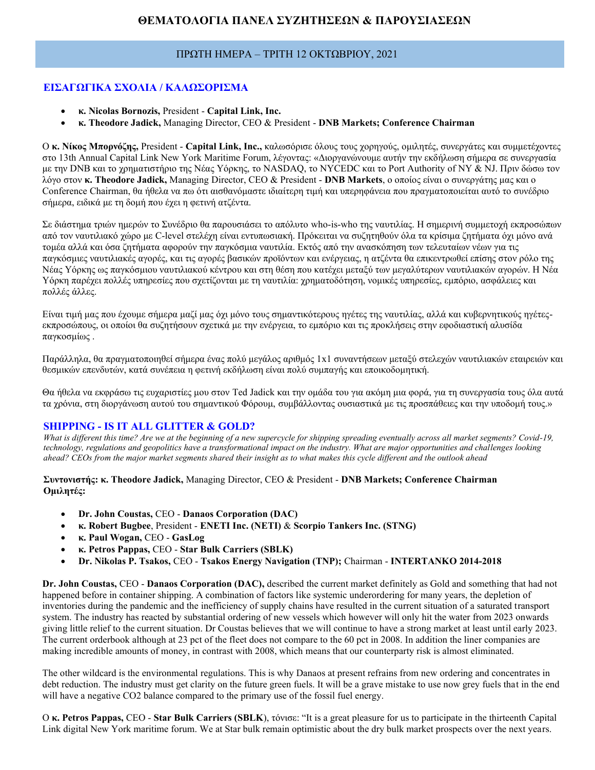# **ΘΕΜΑΤΟΛΟΓΙΑ ΠΑΝΕΛ ΣΥΖΗΤΗΣΕΩΝ & ΠΑΡΟΥΣΙΑΣΕΩΝ**

#### ΠΡΩΤΗ ΗΜΕΡΑ – ΤΡΙΤΗ 12 ΟΚΤΩΒΡΙΟΥ, 2021

## **ΕΙΣΑΓΩΓΙΚΑ ΣΧΟΛΙΑ / ΚΑΛΩΣΟΡΙΣΜΑ**

- **κ. Nicolas Bornozis,** President **Capital Link, Inc.**
- **κ. Theodore Jadick,** Managing Director, CEO & President **DNB Markets; Conference Chairman**

Ο **κ. Νίκος Μπορνόζης,** President - **Capital Link, Inc.,** καλωσόρισε όλους τους χορηγούς, ομιλητές, συνεργάτες και συμμετέχοντες στο 13th Annual Capital Link New York Maritime Forum, λέγοντας: «Διοργανώνουμε αυτήν την εκδήλωση σήμερα σε συνεργασία με την DNB και το χρηματιστήριο της Νέας Υόρκης, το NASDAQ, το NYCEDC και το Port Authority of NY & NJ. Πριν δώσω τον λόγο στον **κ. Theodore Jadick,** Managing Director, CEO & President - **DNB Markets**, ο οποίος είναι ο συνεργάτης μας και ο Conference Chairman, θα ήθελα να πω ότι αισθανόμαστε ιδιαίτερη τιμή και υπερηφάνεια που πραγματοποιείται αυτό το συνέδριο σήμερα, ειδικά με τη δομή που έχει η φετινή ατζέντα.

Σε διάστημα τριών ημερών το Συνέδριο θα παρουσιάσει το απόλυτο who-is-who της ναυτιλίας. Η σημερινή συμμετοχή εκπροσώπων από τον ναυτιλιακό χώρο με C-level στελέχη είναι εντυπωσιακή. Πρόκειται να συζητηθούν όλα τα κρίσιμα ζητήματα όχι μόνο ανά τομέα αλλά και όσα ζητήματα αφορούν την παγκόσμια ναυτιλία. Εκτός από την ανασκόπηση των τελευταίων νέων για τις παγκόσμιες ναυτιλιακές αγορές, και τις αγορές βασικών προϊόντων και ενέργειας, η ατζέντα θα επικεντρωθεί επίσης στον ρόλο της Νέας Υόρκης ως παγκόσμιου ναυτιλιακού κέντρου και στη θέση που κατέχει μεταξύ των μεγαλύτερων ναυτιλιακών αγορών. Η Νέα Υόρκη παρέχει πολλές υπηρεσίες που σχετίζονται με τη ναυτιλία: χρηματοδότηση, νομικές υπηρεσίες, εμπόριο, ασφάλειες και πολλές άλλες.

Είναι τιμή μας που έχουμε σήμερα μαζί μας όχι μόνο τους σημαντικότερους ηγέτες της ναυτιλίας, αλλά και κυβερνητικούς ηγέτεςεκπροσώπους, οι οποίοι θα συζητήσουν σχετικά με την ενέργεια, το εμπόριο και τις προκλήσεις στην εφοδιαστική αλυσίδα παγκοσμίως .

Παράλληλα, θα πραγματοποιηθεί σήμερα ένας πολύ μεγάλος αριθμός 1x1 συναντήσεων μεταξύ στελεχών ναυτιλιακών εταιρειών και θεσμικών επενδυτών, κατά συνέπεια η φετινή εκδήλωση είναι πολύ συμπαγής και εποικοδομητική.

Θα ήθελα να εκφράσω τις ευχαριστίες μου στον Ted Jadick και την ομάδα του για ακόμη μια φορά, για τη συνεργασία τους όλα αυτά τα χρόνια, στη διοργάνωση αυτού του σημαντικού Φόρουμ, συμβάλλοντας ουσιαστικά με τις προσπάθειες και την υποδομή τους.»

#### **SHIPPING - IS IT ALL GLITTER & GOLD?**

*What is different this time? Are we at the beginning of a new supercycle for shipping spreading eventually across all market segments? Covid-19, technology, regulations and geopolitics have a transformational impact on the industry. What are major opportunities and challenges looking ahead? CEOs from the major market segments shared their insight as to what makes this cycle different and the outlook ahead*

**Συντονιστής: κ. Theodore Jadick,** Managing Director, CEO & President - **DNB Markets; Conference Chairman Ομιλητές:**

- **Dr. John Coustas,** CEO **Danaos Corporation (DAC)**
- **κ. Robert Bugbee**, President **ENETI Inc. (NETI)** & **Scorpio Tankers Inc. (STNG)**
- **κ. Paul Wogan,** CEO **GasLog**
- **κ. Petros Pappas,** CEO **Star Bulk Carriers (SBLK)**
- **Dr. Nikolas P. Tsakos,** CEO **Tsakos Energy Navigation (TNP);** Chairman **INTERTANKO 2014-2018**

**Dr. John Coustas,** CEO - **Danaos Corporation (DAC),** described the current market definitely as Gold and something that had not happened before in container shipping. A combination of factors like systemic underordering for many years, the depletion of inventories during the pandemic and the inefficiency of supply chains have resulted in the current situation of a saturated transport system. The industry has reacted by substantial ordering of new vessels which however will only hit the water from 2023 onwards giving little relief to the current situation. Dr Coustas believes that we will continue to have a strong market at least until early 2023. The current orderbook although at 23 pct of the fleet does not compare to the 60 pct in 2008. In addition the liner companies are making incredible amounts of money, in contrast with 2008, which means that our counterparty risk is almost eliminated.

The other wildcard is the environmental regulations. This is why Danaos at present refrains from new ordering and concentrates in debt reduction. The industry must get clarity on the future green fuels. It will be a grave mistake to use now grey fuels that in the end will have a negative CO2 balance compared to the primary use of the fossil fuel energy.

Ο **κ. Petros Pappas,** CEO - **Star Bulk Carriers (SBLK**), τόνισε: "It is a great pleasure for us to participate in the thirteenth Capital Link digital New York maritime forum. We at Star bulk remain optimistic about the dry bulk market prospects over the next years.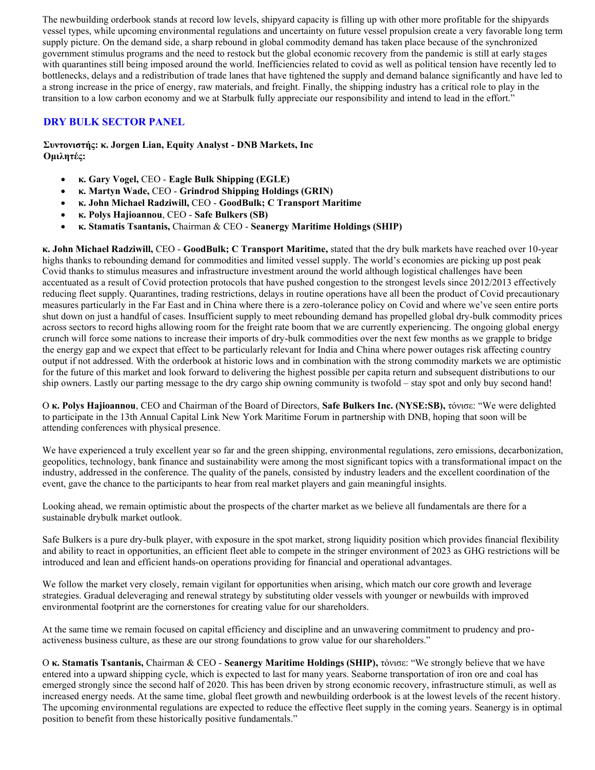The newbuilding orderbook stands at record low levels, shipyard capacity is filling up with other more profitable for the shipyards vessel types, while upcoming environmental regulations and uncertainty on future vessel propulsion create a very favorable long term supply picture. On the demand side, a sharp rebound in global commodity demand has taken place because of the synchronized government stimulus programs and the need to restock but the global economic recovery from the pandemic is still at early stages with quarantines still being imposed around the world. Inefficiencies related to covid as well as political tension have recently led to bottlenecks, delays and a redistribution of trade lanes that have tightened the supply and demand balance significantly and have led to a strong increase in the price of energy, raw materials, and freight. Finally, the shipping industry has a critical role to play in the transition to a low carbon economy and we at Starbulk fully appreciate our responsibility and intend to lead in the effort."

## **DRY BULK SECTOR PANEL**

**Συντονιστής: κ. Jorgen Lian, Equity Analyst - DNB Markets, Inc Ομιλητές:**

- **κ. Gary Vogel,** CEO **Eagle Bulk Shipping (EGLE)**
- **κ. Martyn Wade,** CEO **Grindrod Shipping Holdings (GRIN)**
- **κ. John Michael Radziwill,** CEO **GoodBulk; C Transport Maritime**
- **κ. Polys Hajioannou**, CEO **Safe Bulkers (SB)**
- **κ. Stamatis Tsantanis,** Chairman & CEO **Seanergy Maritime Holdings (SHIP)**

**κ. John Michael Radziwill,** CEO - **GoodBulk; C Transport Maritime,** stated that the dry bulk markets have reached over 10-year highs thanks to rebounding demand for commodities and limited vessel supply. The world's economies are picking up post peak Covid thanks to stimulus measures and infrastructure investment around the world although logistical challenges have been accentuated as a result of Covid protection protocols that have pushed congestion to the strongest levels since 2012/2013 effectively reducing fleet supply. Quarantines, trading restrictions, delays in routine operations have all been the product of Covid precautionary measures particularly in the Far East and in China where there is a zero-tolerance policy on Covid and where we've seen entire ports shut down on just a handful of cases. Insufficient supply to meet rebounding demand has propelled global dry-bulk commodity prices across sectors to record highs allowing room for the freight rate boom that we are currently experiencing. The ongoing global energy crunch will force some nations to increase their imports of dry-bulk commodities over the next few months as we grapple to bridge the energy gap and we expect that effect to be particularly relevant for India and China where power outages risk affecting country output if not addressed. With the orderbook at historic lows and in combination with the strong commodity markets we are optimistic for the future of this market and look forward to delivering the highest possible per capita return and subsequent distributions to our ship owners. Lastly our parting message to the dry cargo ship owning community is twofold – stay spot and only buy second hand!

Ο **κ. Polys Hajioannou**, CEO and Chairman of the Board of Directors, **Safe Bulkers Inc. (NYSE:SB),** τόνισε: "We were delighted to participate in the 13th Annual Capital Link New York Maritime Forum in partnership with DNB, hoping that soon will be attending conferences with physical presence.

We have experienced a truly excellent year so far and the green shipping, environmental regulations, zero emissions, decarbonization, geopolitics, technology, bank finance and sustainability were among the most significant topics with a transformational impact on the industry, addressed in the conference. The quality of the panels, consisted by industry leaders and the excellent coordination of the event, gave the chance to the participants to hear from real market players and gain meaningful insights.

Looking ahead, we remain optimistic about the prospects of the charter market as we believe all fundamentals are there for a sustainable drybulk market outlook.

Safe Bulkers is a pure dry-bulk player, with exposure in the spot market, strong liquidity position which provides financial flexibility and ability to react in opportunities, an efficient fleet able to compete in the stringer environment of 2023 as GHG restrictions will be introduced and lean and efficient hands-on operations providing for financial and operational advantages.

We follow the market very closely, remain vigilant for opportunities when arising, which match our core growth and leverage strategies. Gradual deleveraging and renewal strategy by substituting older vessels with younger or newbuilds with improved environmental footprint are the cornerstones for creating value for our shareholders.

At the same time we remain focused on capital efficiency and discipline and an unwavering commitment to prudency and proactiveness business culture, as these are our strong foundations to grow value for our shareholders."

Ο **κ. Stamatis Tsantanis,** Chairman & CEO - **Seanergy Maritime Holdings (SHIP),** τόνισε: "We strongly believe that we have entered into a upward shipping cycle, which is expected to last for many years. Seaborne transportation of iron ore and coal has emerged strongly since the second half of 2020. This has been driven by strong economic recovery, infrastructure stimuli, as well as increased energy needs. At the same time, global fleet growth and newbuilding orderbook is at the lowest levels of the recent history. The upcoming environmental regulations are expected to reduce the effective fleet supply in the coming years. Seanergy is in optimal position to benefit from these historically positive fundamentals."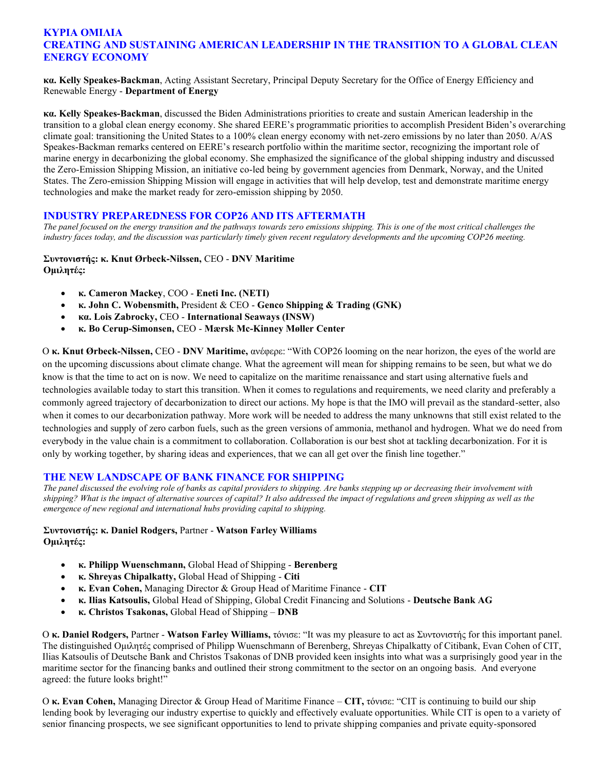## **ΚΥΡΙΑ ΟΜΙΛΙΑ CREATING AND SUSTAINING AMERICAN LEADERSHIP IN THE TRANSITION TO A GLOBAL CLEAN ENERGY ECONOMY**

**κα. Kelly Speakes-Backman**, Acting Assistant Secretary, Principal Deputy Secretary for the Office of Energy Efficiency and Renewable Energy - **Department of Energy**

**κα. Kelly Speakes-Backman**, discussed the Biden Administrations priorities to create and sustain American leadership in the transition to a global clean energy economy. She shared EERE's programmatic priorities to accomplish President Biden's overarching climate goal: transitioning the United States to a 100% clean energy economy with net-zero emissions by no later than 2050. A/AS Speakes-Backman remarks centered on EERE's research portfolio within the maritime sector, recognizing the important role of marine energy in decarbonizing the global economy. She emphasized the significance of the global shipping industry and discussed the Zero-Emission Shipping Mission, an initiative co-led being by government agencies from Denmark, Norway, and the United States. The Zero-emission Shipping Mission will engage in activities that will help develop, test and demonstrate maritime energy technologies and make the market ready for zero-emission shipping by 2050.

#### **INDUSTRY PREPAREDNESS FOR COP26 AND ITS AFTERMATH**

*The panel focused on the energy transition and the pathways towards zero emissions shipping. This is one of the most critical challenges the industry faces today, and the discussion was particularly timely given recent regulatory developments and the upcoming COP26 meeting.*

#### **Συντονιστής: κ. Knut Ørbeck-Nilssen,** CEO - **DNV Maritime Ομιλητές:**

- **κ. Cameron Mackey**, COO **Eneti Inc. (NETI)**
- **κ. John C. Wobensmith,** President & CEO **Genco Shipping & Trading (GNK)**
- **κα. Lois Zabrocky,** CEO **International Seaways (INSW)**
- **κ. Bo Cerup-Simonsen,** CEO **Mærsk Mc-Kinney Møller Center**

Ο **κ. Knut Ørbeck-Nilssen,** CEO - **DNV Maritime,** ανέφερε: "With COP26 looming on the near horizon, the eyes of the world are on the upcoming discussions about climate change. What the agreement will mean for shipping remains to be seen, but what we do know is that the time to act on is now. We need to capitalize on the maritime renaissance and start using alternative fuels and technologies available today to start this transition. When it comes to regulations and requirements, we need clarity and preferably a commonly agreed trajectory of decarbonization to direct our actions. My hope is that the IMO will prevail as the standard-setter, also when it comes to our decarbonization pathway. More work will be needed to address the many unknowns that still exist related to the technologies and supply of zero carbon fuels, such as the green versions of ammonia, methanol and hydrogen. What we do need from everybody in the value chain is a commitment to collaboration. Collaboration is our best shot at tackling decarbonization. For it is only by working together, by sharing ideas and experiences, that we can all get over the finish line together."

#### **THE NEW LANDSCAPE OF BANK FINANCE FOR SHIPPING**

*The panel discussed the evolving role of banks as capital providers to shipping. Are banks stepping up or decreasing their involvement with shipping? What is the impact of alternative sources of capital? It also addressed the impact of regulations and green shipping as well as the emergence of new regional and international hubs providing capital to shipping.*

#### **Συντονιστής: κ. Daniel Rodgers,** Partner - **Watson Farley Williams Ομιλητές:**

- **κ. Philipp Wuenschmann,** Global Head of Shipping **Berenberg**
- **κ. Shreyas Chipalkatty,** Global Head of Shipping **Citi**
- **κ. Evan Cohen,** Managing Director & Group Head of Maritime Finance **CIT**
- **κ. Ilias Katsoulis,** Global Head of Shipping, Global Credit Financing and Solutions **Deutsche Bank AG**
- **κ. Christos Tsakonas,** Global Head of Shipping **DNB**

Ο **κ. Daniel Rodgers,** Partner - **Watson Farley Williams,** τόνισε: "It was my pleasure to act as Συντονιστής for this important panel. The distinguished Ομιλητές comprised of Philipp Wuenschmann of Berenberg, Shreyas Chipalkatty of Citibank, Evan Cohen of CIT, Ilias Katsoulis of Deutsche Bank and Christos Tsakonas of DNB provided keen insights into what was a surprisingly good year in the maritime sector for the financing banks and outlined their strong commitment to the sector on an ongoing basis. And everyone agreed: the future looks bright!"

Ο **κ. Evan Cohen,** Managing Director & Group Head of Maritime Finance – **CIT,** τόνισε: "CIT is continuing to build our ship lending book by leveraging our industry expertise to quickly and effectively evaluate opportunities. While CIT is open to a variety of senior financing prospects, we see significant opportunities to lend to private shipping companies and private equity-sponsored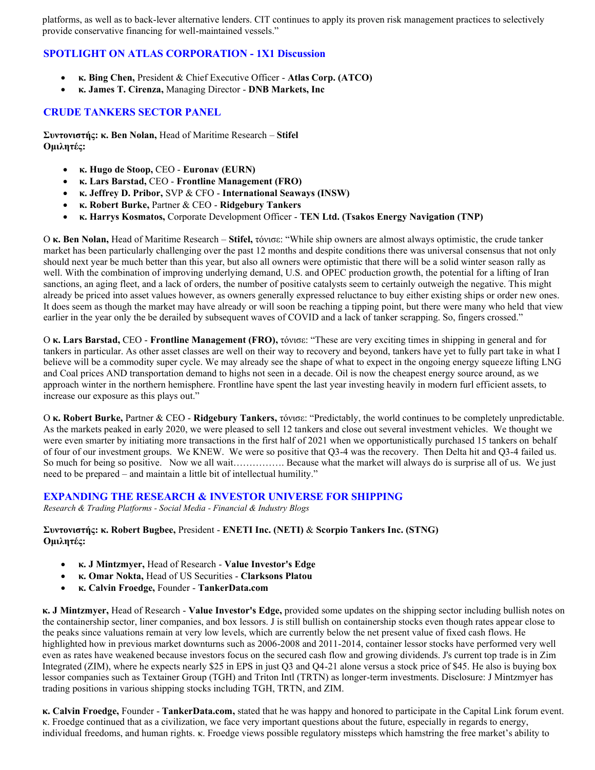platforms, as well as to back-lever alternative lenders. CIT continues to apply its proven risk management practices to selectively provide conservative financing for well-maintained vessels."

## **SPOTLIGHT ON ATLAS CORPORATION - 1X1 Discussion**

- **κ. Bing Chen,** President & Chief Executive Officer **Atlas Corp. (ATCO)**
- **κ. James T. Cirenza,** Managing Director **DNB Markets, Inc**

## **CRUDE TANKERS SECTOR PANEL**

**Συντονιστής: κ. Ben Nolan,** Head of Maritime Research – **Stifel Ομιλητές:**

- **κ. Hugo de Stoop,** CEO **Euronav (EURN)**
- **κ. Lars Barstad,** CEO **Frontline Management (FRO)**
- **κ. Jeffrey D. Pribor,** SVP & CFO **International Seaways (INSW)**
- **κ. Robert Burke,** Partner & CEO **Ridgebury Tankers**
- **κ. Harrys Kosmatos,** Corporate Development Officer **TEN Ltd. (Tsakos Energy Navigation (TNP)**

Ο **κ. Ben Nolan,** Head of Maritime Research – **Stifel,** τόνισε: "While ship owners are almost always optimistic, the crude tanker market has been particularly challenging over the past 12 months and despite conditions there was universal consensus that not only should next year be much better than this year, but also all owners were optimistic that there will be a solid winter season rally as well. With the combination of improving underlying demand, U.S. and OPEC production growth, the potential for a lifting of Iran sanctions, an aging fleet, and a lack of orders, the number of positive catalysts seem to certainly outweigh the negative. This might already be priced into asset values however, as owners generally expressed reluctance to buy either existing ships or order new ones. It does seem as though the market may have already or will soon be reaching a tipping point, but there were many who held that view earlier in the year only the be derailed by subsequent waves of COVID and a lack of tanker scrapping. So, fingers crossed."

Ο **κ. Lars Barstad,** CEO - **Frontline Management (FRO),** τόνισε: "These are very exciting times in shipping in general and for tankers in particular. As other asset classes are well on their way to recovery and beyond, tankers have yet to fully part take in what I believe will be a commodity super cycle. We may already see the shape of what to expect in the ongoing energy squeeze lifting LNG and Coal prices AND transportation demand to highs not seen in a decade. Oil is now the cheapest energy source around, as we approach winter in the northern hemisphere. Frontline have spent the last year investing heavily in modern furl efficient assets, to increase our exposure as this plays out."

Ο **κ. Robert Burke,** Partner & CEO - **Ridgebury Tankers,** τόνισε: "Predictably, the world continues to be completely unpredictable. As the markets peaked in early 2020, we were pleased to sell 12 tankers and close out several investment vehicles. We thought we were even smarter by initiating more transactions in the first half of 2021 when we opportunistically purchased 15 tankers on behalf of four of our investment groups. We KNEW. We were so positive that Q3-4 was the recovery. Then Delta hit and Q3-4 failed us. So much for being so positive. Now we all wait……………. Because what the market will always do is surprise all of us. We just need to be prepared – and maintain a little bit of intellectual humility."

#### **EXPANDING THE RESEARCH & INVESTOR UNIVERSE FOR SHIPPING**

*Research & Trading Platforms - Social Media - Financial & Industry Blogs*

**Συντονιστής: κ. Robert Bugbee,** President - **ENETI Inc. (NETI)** & **Scorpio Tankers Inc. (STNG) Ομιλητές:**

- **κ. J Mintzmyer,** Head of Research **Value Investor's Edge**
- **κ. Omar Nokta,** Head of US Securities **Clarksons Platou**
- **κ. Calvin Froedge,** Founder **TankerData.com**

**κ. J Mintzmyer,** Head of Research - **Value Investor's Edge,** provided some updates on the shipping sector including bullish notes on the containership sector, liner companies, and box lessors. J is still bullish on containership stocks even though rates appear close to the peaks since valuations remain at very low levels, which are currently below the net present value of fixed cash flows. He highlighted how in previous market downturns such as 2006-2008 and 2011-2014, container lessor stocks have performed very well even as rates have weakened because investors focus on the secured cash flow and growing dividends. J's current top trade is in Zim Integrated (ZIM), where he expects nearly \$25 in EPS in just Q3 and Q4-21 alone versus a stock price of \$45. He also is buying box lessor companies such as Textainer Group (TGH) and Triton Intl (TRTN) as longer-term investments. Disclosure: J Mintzmyer has trading positions in various shipping stocks including TGH, TRTN, and ZIM.

**κ. Calvin Froedge,** Founder - **TankerData.com,** stated that he was happy and honored to participate in the Capital Link forum event. κ. Froedge continued that as a civilization, we face very important questions about the future, especially in regards to energy, individual freedoms, and human rights. κ. Froedge views possible regulatory missteps which hamstring the free market's ability to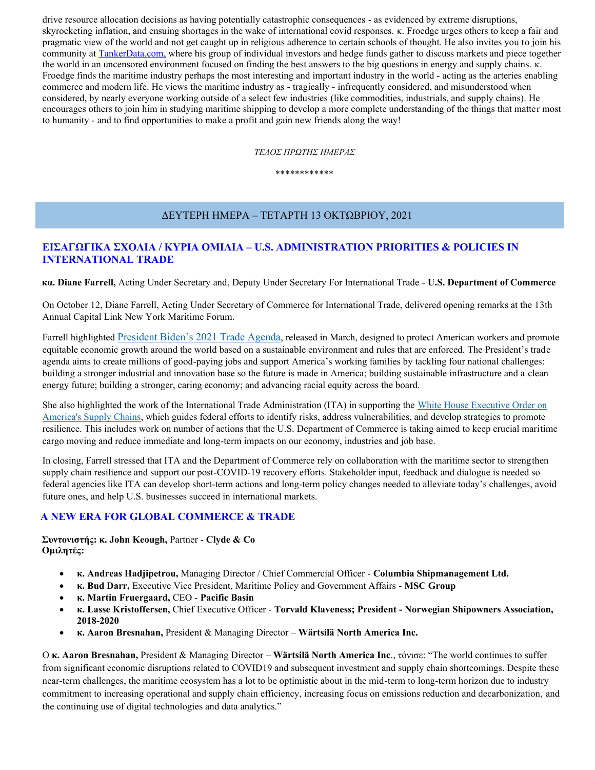drive resource allocation decisions as having potentially catastrophic consequences - as evidenced by extreme disruptions, skyrocketing inflation, and ensuing shortages in the wake of international covid responses. κ. Froedge urges others to keep a fair and pragmatic view of the world and not get caught up in religious adherence to certain schools of thought. He also invites you to join his community at [TankerData.com,](https://tankerdata.com/) where his group of individual investors and hedge funds gather to discuss markets and piece together the world in an uncensored environment focused on finding the best answers to the big questions in energy and supply chains. κ. Froedge finds the maritime industry perhaps the most interesting and important industry in the world - acting as the arteries enabling commerce and modern life. He views the maritime industry as - tragically - infrequently considered, and misunderstood when considered, by nearly everyone working outside of a select few industries (like commodities, industrials, and supply chains). He encourages others to join him in studying maritime shipping to develop a more complete understanding of the things that matter most to humanity - and to find opportunities to make a profit and gain new friends along the way!

*ΤΕΛΟΣ ΠΡΩΤΗΣ ΗΜΕΡΑΣ*

\*\*\*\*\*\*\*\*\*\*\*\*

# ΔΕΥΤΕΡΗ ΗΜΕΡΑ – ΤΕΤΑΡΤΗ 13 ΟΚΤΩΒΡΙΟΥ, 2021

# **ΕΙΣΑΓΩΓΙΚΑ ΣΧΟΛΙΑ / ΚΥΡΙΑ ΟΜΙΛΙΑ – U.S. ADMINISTRATION PRIORITIES & POLICIES IN INTERNATIONAL TRADE**

**κα. Diane Farrell,** Acting Under Secretary and, Deputy Under Secretary For International Trade - **U.S. Department of Commerce**

On October 12, Diane Farrell, Acting Under Secretary of Commerce for International Trade, delivered opening remarks at the 13th Annual Capital Link New York Maritime Forum.

Farrell highlighted [President Biden's 2021 Trade Agenda](file:///C:/Users/User/AppData/Local/Microsoft/Windows/INetCache/Content.Outlook/PNXWMO1B/2021%20President’s%20Trade%20Agenda), released in March, designed to protect American workers and promote equitable economic growth around the world based on a sustainable environment and rules that are enforced. The President's trade agenda aims to create millions of good-paying jobs and support America's working families by tackling four national challenges: building a stronger industrial and innovation base so the future is made in America; building sustainable infrastructure and a clean energy future; building a stronger, caring economy; and advancing racial equity across the board.

She also highlighted the work of the International Trade Administration (ITA) in supporting th[e White House Executive Order on](https://www.whitehouse.gov/briefing-room/presidential-actions/2021/02/24/executive-order-on-americas-supply-chains/)  [America's Supply Chains,](https://www.whitehouse.gov/briefing-room/presidential-actions/2021/02/24/executive-order-on-americas-supply-chains/) which guides federal efforts to identify risks, address vulnerabilities, and develop strategies to promote resilience. This includes work on number of actions that the U.S. Department of Commerce is taking aimed to keep crucial maritime cargo moving and reduce immediate and long-term impacts on our economy, industries and job base.

In closing, Farrell stressed that ITA and the Department of Commerce rely on collaboration with the maritime sector to strengthen supply chain resilience and support our post-COVID-19 recovery efforts. Stakeholder input, feedback and dialogue is needed so federal agencies like ITA can develop short-term actions and long-term policy changes needed to alleviate today's challenges, avoid future ones, and help U.S. businesses succeed in international markets.

# **A NEW ERA FOR GLOBAL COMMERCE & TRADE**

**Συντονιστής: κ. John Keough,** Partner - **Clyde & Co Ομιλητές:**

- **κ. Andreas Hadjipetrou,** Managing Director / Chief Commercial Officer **Columbia Shipmanagement Ltd.**
- **κ. Bud Darr,** Executive Vice President, Maritime Policy and Government Affairs **MSC Group**
- **κ. Martin Fruergaard,** CEO **Pacific Basin**
- **κ. Lasse Kristoffersen,** Chief Executive Officer **Torvald Klaveness; President - Norwegian Shipowners Association, 2018-2020**
- **κ. Aaron Bresnahan,** President & Managing Director **Wärtsilä North America Inc.**

Ο **κ. Aaron Bresnahan,** President & Managing Director – **Wärtsilä North America Inc**., τόνισε: "The world continues to suffer from significant economic disruptions related to COVID19 and subsequent investment and supply chain shortcomings. Despite these near-term challenges, the maritime ecosystem has a lot to be optimistic about in the mid-term to long-term horizon due to industry commitment to increasing operational and supply chain efficiency, increasing focus on emissions reduction and decarbonization, and the continuing use of digital technologies and data analytics."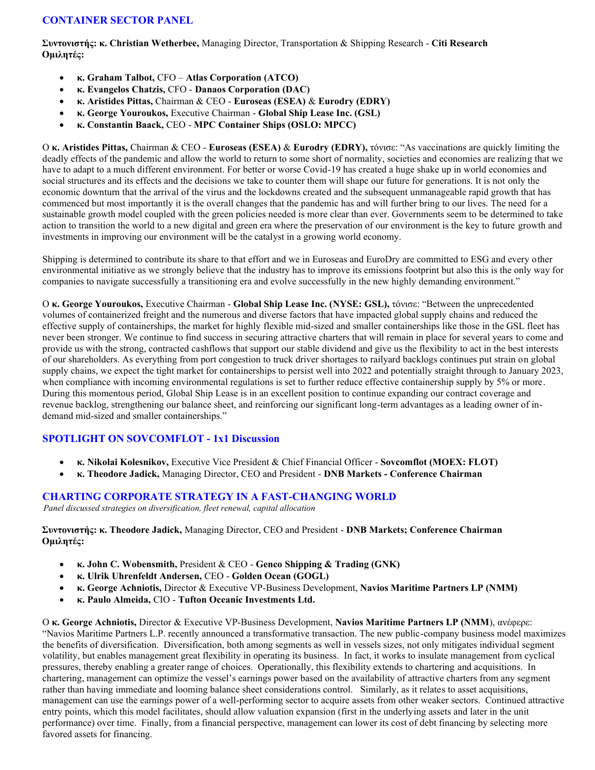## **CONTAINER SECTOR PANEL**

**Συντονιστής: κ. Christian Wetherbee,** Managing Director, Transportation & Shipping Research - **Citi Research Ομιλητές:**

- **κ. Graham Talbot,** CFO **Atlas Corporation (ATCO)**
- **κ. Evangelos Chatzis,** CFO **Danaos Corporation (DAC)**
- **κ. Aristides Pittas,** Chairman & CEO **Euroseas (ESEA)** & **Eurodry (EDRY)**
- **κ. George Youroukos,** Executive Chairman **Global Ship Lease Inc. (GSL)**
- **κ. Constantin Baack,** CEO **MPC Container Ships (OSLO: MPCC)**

Ο **κ. Aristides Pittas,** Chairman & CEO - **Euroseas (ESEA)** & **Eurodry (EDRY),** τόνισε: "As vaccinations are quickly limiting the deadly effects of the pandemic and allow the world to return to some short of normality, societies and economies are realizing that we have to adapt to a much different environment. For better or worse Covid-19 has created a huge shake up in world economies and social structures and its effects and the decisions we take to counter them will shape our future for generations. It is not only the economic downturn that the arrival of the virus and the lockdowns created and the subsequent unmanageable rapid growth that has commenced but most importantly it is the overall changes that the pandemic has and will further bring to our lives. The need for a sustainable growth model coupled with the green policies needed is more clear than ever. Governments seem to be determined to take action to transition the world to a new digital and green era where the preservation of our environment is the key to future growth and investments in improving our environment will be the catalyst in a growing world economy.

Shipping is determined to contribute its share to that effort and we in Euroseas and EuroDry are committed to ESG and every other environmental initiative as we strongly believe that the industry has to improve its emissions footprint but also this is the only way for companies to navigate successfully a transitioning era and evolve successfully in the new highly demanding environment."

Ο **κ. George Youroukos,** Executive Chairman - **Global Ship Lease Inc. (NYSE: GSL),** τόνισε: "Between the unprecedented volumes of containerized freight and the numerous and diverse factors that have impacted global supply chains and reduced the effective supply of containerships, the market for highly flexible mid-sized and smaller containerships like those in the GSL fleet has never been stronger. We continue to find success in securing attractive charters that will remain in place for several years to come and provide us with the strong, contracted cashflows that support our stable dividend and give us the flexibility to act in the best interests of our shareholders. As everything from port congestion to truck driver shortages to railyard backlogs continues put strain on global supply chains, we expect the tight market for containerships to persist well into 2022 and potentially straight through to January 2023, when compliance with incoming environmental regulations is set to further reduce effective containership supply by 5% or more. During this momentous period, Global Ship Lease is in an excellent position to continue expanding our contract coverage and revenue backlog, strengthening our balance sheet, and reinforcing our significant long-term advantages as a leading owner of indemand mid-sized and smaller containerships."

#### **SPOTLIGHT ON SOVCOMFLOT - 1x1 Discussion**

- **κ. Nikolai Kolesnikov,** Executive Vice President & Chief Financial Officer **Sovcomflot (MOEX: FLOT)**
- **κ. Theodore Jadick,** Managing Director, CEO and President **DNB Markets - Conference Chairman**

#### **CHARTING CORPORATE STRATEGY IN A FAST-CHANGING WORLD**

*Panel discussed strategies on diversification, fleet renewal, capital allocation*

**Συντονιστής: κ. Theodore Jadick,** Managing Director, CEO and President - **DNB Markets; Conference Chairman Ομιλητές:**

- **κ. John C. Wobensmith,** President & CEO **Genco Shipping & Trading (GNK)**
- **κ. Ulrik Uhrenfeldt Andersen,** CEO **Golden Ocean (GOGL)**
- **κ. George Achniotis,** Director & Executive VP-Business Development, **Navios Maritime Partners LP (NMM)**
- **κ. Paulo Almeida,** CIO **Tufton Oceanic Investments Ltd.**

Ο **κ. George Achniotis,** Director & Executive VP-Business Development, **Navios Maritime Partners LP (NMM**), ανέφερε: "Navios Maritime Partners L.P. recently announced a transformative transaction. The new public-company business model maximizes the benefits of diversification. Diversification, both among segments as well in vessels sizes, not only mitigates individual segment volatility, but enables management great flexibility in operating its business. In fact, it works to insulate management from cyclical pressures, thereby enabling a greater range of choices. Operationally, this flexibility extends to chartering and acquisitions. In chartering, management can optimize the vessel's earnings power based on the availability of attractive charters from any segment rather than having immediate and looming balance sheet considerations control. Similarly, as it relates to asset acquisitions, management can use the earnings power of a well-performing sector to acquire assets from other weaker sectors. Continued attractive entry points, which this model facilitates, should allow valuation expansion (first in the underlying assets and later in the unit performance) over time. Finally, from a financial perspective, management can lower its cost of debt financing by selecting more favored assets for financing.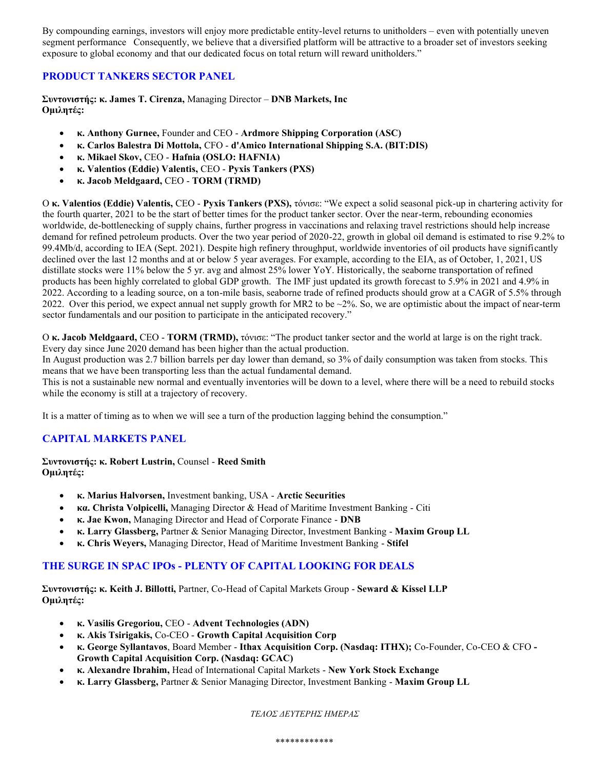By compounding earnings, investors will enjoy more predictable entity-level returns to unitholders – even with potentially uneven segment performance Consequently, we believe that a diversified platform will be attractive to a broader set of investors seeking exposure to global economy and that our dedicated focus on total return will reward unitholders."

## **PRODUCT TANKERS SECTOR PANEL**

**Συντονιστής: κ. James T. Cirenza,** Managing Director – **DNB Markets, Inc Ομιλητές:**

- **κ. Anthony Gurnee,** Founder and CEO **Ardmore Shipping Corporation (ASC)**
- **κ. Carlos Balestra Di Mottola,** CFO **d'Amico International Shipping S.A. (BIT:DIS)**
- **κ. Mikael Skov,** CEO **Hafnia (OSLO: HAFNIA)**
- **κ. Valentios (Eddie) Valentis,** CEO **Pyxis Tankers (PXS)**
- **κ. Jacob Meldgaard,** CEO **TORM (TRMD)**

Ο **κ. Valentios (Eddie) Valentis,** CEO - **Pyxis Tankers (PXS),** τόνισε: "We expect a solid seasonal pick-up in chartering activity for the fourth quarter, 2021 to be the start of better times for the product tanker sector. Over the near-term, rebounding economies worldwide, de-bottlenecking of supply chains, further progress in vaccinations and relaxing travel restrictions should help increase demand for refined petroleum products. Over the two year period of 2020-22, growth in global oil demand is estimated to rise 9.2% to 99.4Mb/d, according to IEA (Sept. 2021). Despite high refinery throughput, worldwide inventories of oil products have significantly declined over the last 12 months and at or below 5 year averages. For example, according to the EIA, as of October, 1, 2021, US distillate stocks were 11% below the 5 yr. avg and almost 25% lower YoY. Historically, the seaborne transportation of refined products has been highly correlated to global GDP growth. The IMF just updated its growth forecast to 5.9% in 2021 and 4.9% in 2022. According to a leading source, on a ton-mile basis, seaborne trade of refined products should grow at a CAGR of 5.5% through 2022. Over this period, we expect annual net supply growth for MR2 to be  $\sim$ 2%. So, we are optimistic about the impact of near-term sector fundamentals and our position to participate in the anticipated recovery."

Ο **κ. Jacob Meldgaard,** CEO - **TORM (TRMD),** τόνισε: "The product tanker sector and the world at large is on the right track. Every day since June 2020 demand has been higher than the actual production.

In August production was 2.7 billion barrels per day lower than demand, so 3% of daily consumption was taken from stocks. This means that we have been transporting less than the actual fundamental demand.

This is not a sustainable new normal and eventually inventories will be down to a level, where there will be a need to rebuild stocks while the economy is still at a trajectory of recovery.

It is a matter of timing as to when we will see a turn of the production lagging behind the consumption."

# **CAPITAL MARKETS PANEL**

**Συντονιστής: κ. Robert Lustrin,** Counsel - **Reed Smith Ομιλητές:**

- **κ. Marius Halvorsen,** Investment banking, USA **Arctic Securities**
- **κα. Christa Volpicelli,** Managing Director & Head of Maritime Investment Banking Citi
- **κ. Jae Kwon,** Managing Director and Head of Corporate Finance **DNB**
- **κ. Larry Glassberg,** Partner & Senior Managing Director, Investment Banking **Maxim Group LL**
- **κ. Chris Weyers,** Managing Director, Head of Maritime Investment Banking **Stifel**

#### **THE SURGE IN SPAC IPOs - PLENTY OF CAPITAL LOOKING FOR DEALS**

**Συντονιστής: κ. Keith J. Billotti,** Partner, Co-Head of Capital Markets Group - **Seward & Kissel LLP Ομιλητές:**

- **κ. Vasilis Gregoriou,** CEO **Advent Technologies (ADN)**
- **κ. Akis Tsirigakis,** Co-CEO **Growth Capital Acquisition Corp**
- **κ. George Syllantavos**, Board Member **Ithax Acquisition Corp. (Nasdaq: ITHX);** Co-Founder, Co-CEO & CFO **- Growth Capital Acquisition Corp. (Nasdaq: GCAC)**
- **κ. Alexandre Ibrahim,** Head of International Capital Markets **New York Stock Exchange**
- **κ. Larry Glassberg,** Partner & Senior Managing Director, Investment Banking **Maxim Group LL**

*ΤΕΛΟΣ ΔΕΥΤΕΡΗΣ ΗΜΕΡΑΣ*

\*\*\*\*\*\*\*\*\*\*\*\*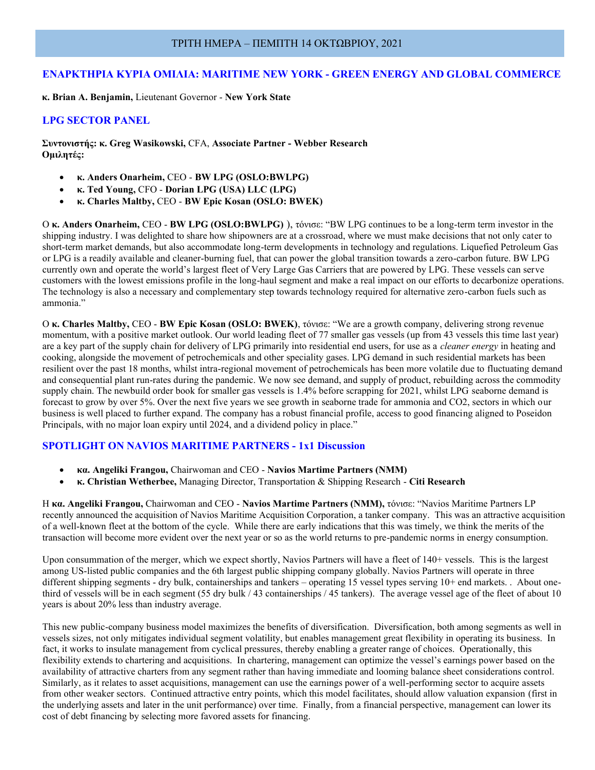#### ΤΡΙΤΗ ΗΜΕΡΑ – ΠΕΜΠΤΗ 14 ΟΚΤΩΒΡΙΟΥ, 2021

#### **ΕΝΑΡΚΤΗΡΙΑ ΚΥΡΙΑ ΟΜΙΛΙΑ: MARITIME NEW YORK - GREEN ENERGY AND GLOBAL COMMERCE**

**κ. Brian A. Benjamin,** Lieutenant Governor - **New York State**

#### **LPG SECTOR PANEL**

**Συντονιστής: κ. Greg Wasikowski,** CFA, **Associate Partner - Webber Research Ομιλητές:**

- **κ. Anders Onarheim,** CEO **BW LPG (OSLO:BWLPG)**
- **κ. Ted Young,** CFO **Dorian LPG (USA) LLC (LPG)**
- **κ. Charles Maltby,** CEO **BW Epic Kosan (OSLO: BWEK)**

Ο **κ. Anders Onarheim,** CEO - **BW LPG (OSLO:BWLPG)** ), τόνισε: "BW LPG continues to be a long-term term investor in the shipping industry. I was delighted to share how shipowners are at a crossroad, where we must make decisions that not only cater to short-term market demands, but also accommodate long-term developments in technology and regulations. Liquefied Petroleum Gas or LPG is a readily available and cleaner-burning fuel, that can power the global transition towards a zero-carbon future. BW LPG currently own and operate the world's largest fleet of Very Large Gas Carriers that are powered by LPG. These vessels can serve customers with the lowest emissions profile in the long-haul segment and make a real impact on our efforts to decarbonize operations. The technology is also a necessary and complementary step towards technology required for alternative zero-carbon fuels such as ammonia."

Ο **κ. Charles Maltby,** CEO - **BW Epic Kosan (OSLO: BWEK)**, τόνισε: "We are a growth company, delivering strong revenue momentum, with a positive market outlook. Our world leading fleet of 77 smaller gas vessels (up from 43 vessels this time last year) are a key part of the supply chain for delivery of LPG primarily into residential end users, for use as a *cleaner energy* in heating and cooking, alongside the movement of petrochemicals and other speciality gases. LPG demand in such residential markets has been resilient over the past 18 months, whilst intra-regional movement of petrochemicals has been more volatile due to fluctuating demand and consequential plant run-rates during the pandemic. We now see demand, and supply of product, rebuilding across the commodity supply chain. The newbuild order book for smaller gas vessels is 1.4% before scrapping for 2021, whilst LPG seaborne demand is forecast to grow by over 5%. Over the next five years we see growth in seaborne trade for ammonia and CO2, sectors in which our business is well placed to further expand. The company has a robust financial profile, access to good financing aligned to Poseidon Principals, with no major loan expiry until 2024, and a dividend policy in place."

#### **SPOTLIGHT ON NAVIOS MARITIME PARTNERS - 1x1 Discussion**

- **κα. Angeliki Frangou,** Chairwoman and CEO **Navios Martime Partners (NMM)**
- **κ. Christian Wetherbee,** Managing Director, Transportation & Shipping Research **Citi Research**

Η **κα. Angeliki Frangou,** Chairwoman and CEO - **Navios Martime Partners (NMM),** τόνισε: "Navios Maritime Partners LP recently announced the acquisition of Navios Maritime Acquisition Corporation, a tanker company. This was an attractive acquisition of a well-known fleet at the bottom of the cycle. While there are early indications that this was timely, we think the merits of the transaction will become more evident over the next year or so as the world returns to pre-pandemic norms in energy consumption.

Upon consummation of the merger, which we expect shortly, Navios Partners will have a fleet of 140+ vessels. This is the largest among US-listed public companies and the 6th largest public shipping company globally. Navios Partners will operate in three different shipping segments - dry bulk, containerships and tankers – operating 15 vessel types serving 10+ end markets. . About onethird of vessels will be in each segment (55 dry bulk / 43 containerships / 45 tankers). The average vessel age of the fleet of about 10 years is about 20% less than industry average.

This new public-company business model maximizes the benefits of diversification. Diversification, both among segments as well in vessels sizes, not only mitigates individual segment volatility, but enables management great flexibility in operating its business. In fact, it works to insulate management from cyclical pressures, thereby enabling a greater range of choices. Operationally, this flexibility extends to chartering and acquisitions. In chartering, management can optimize the vessel's earnings power based on the availability of attractive charters from any segment rather than having immediate and looming balance sheet considerations control. Similarly, as it relates to asset acquisitions, management can use the earnings power of a well-performing sector to acquire assets from other weaker sectors. Continued attractive entry points, which this model facilitates, should allow valuation expansion (first in the underlying assets and later in the unit performance) over time. Finally, from a financial perspective, management can lower its cost of debt financing by selecting more favored assets for financing.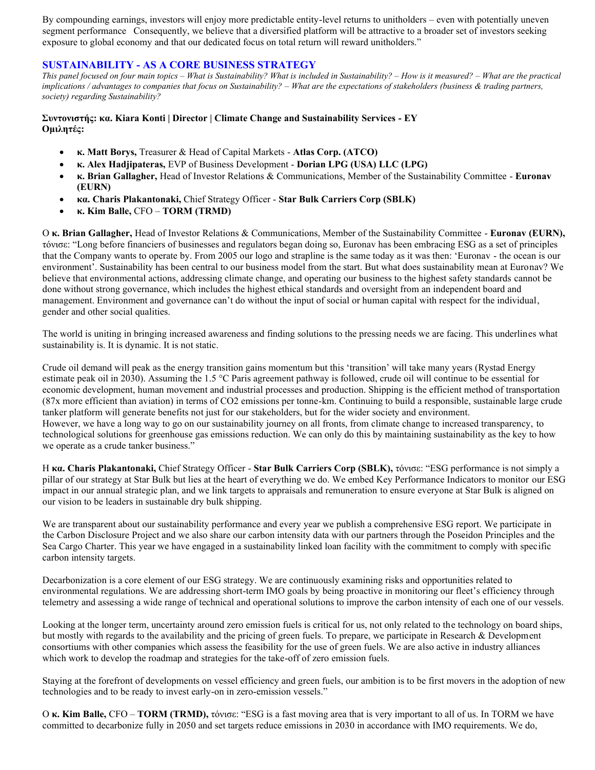By compounding earnings, investors will enjoy more predictable entity-level returns to unitholders – even with potentially uneven segment performance Consequently, we believe that a diversified platform will be attractive to a broader set of investors seeking exposure to global economy and that our dedicated focus on total return will reward unitholders."

## **SUSTAINABILITY - AS A CORE BUSINESS STRATEGY**

*This panel focused on four main topics – What is Sustainability? What is included in Sustainability? – How is it measured? – What are the practical implications / advantages to companies that focus on Sustainability? – What are the expectations of stakeholders (business & trading partners, society) regarding Sustainability?*

#### **Συντονιστής: κα. Kiara Konti | Director | Climate Change and Sustainability Services - EY Ομιλητές:**

- **κ. Matt Borys,** Treasurer & Head of Capital Markets **Atlas Corp. (ATCO)**
- **κ. Alex Hadjipateras,** EVP of Business Development **Dorian LPG (USA) LLC (LPG)**
- **κ. Brian Gallagher,** Head of Investor Relations & Communications, Member of the Sustainability Committee **Euronav (EURN)**
- **κα. Charis Plakantonaki,** Chief Strategy Officer **Star Bulk Carriers Corp (SBLK)**
- **κ. Kim Balle,** CFO **TORM (TRMD)**

Ο **κ. Brian Gallagher,** Head of Investor Relations & Communications, Member of the Sustainability Committee - **Euronav (EURN),**  τόνισε: "Long before financiers of businesses and regulators began doing so, Euronav has been embracing ESG as a set of principles that the Company wants to operate by. From 2005 our logo and strapline is the same today as it was then: 'Euronav - the ocean is our environment'. Sustainability has been central to our business model from the start. But what does sustainability mean at Euronav? We believe that environmental actions, addressing climate change, and operating our business to the highest safety standards cannot be done without strong governance, which includes the highest ethical standards and oversight from an independent board and management. Environment and governance can't do without the input of social or human capital with respect for the individual, gender and other social qualities.

The world is uniting in bringing increased awareness and finding solutions to the pressing needs we are facing. This underlines what sustainability is. It is dynamic. It is not static.

Crude oil demand will peak as the energy transition gains momentum but this 'transition' will take many years (Rystad Energy estimate peak oil in 2030). Assuming the 1.5 °C Paris agreement pathway is followed, crude oil will continue to be essential for economic development, human movement and industrial processes and production. Shipping is the efficient method of transportation (87x more efficient than aviation) in terms of CO2 emissions per tonne-km. Continuing to build a responsible, sustainable large crude tanker platform will generate benefits not just for our stakeholders, but for the wider society and environment. However, we have a long way to go on our sustainability journey on all fronts, from climate change to increased transparency, to technological solutions for greenhouse gas emissions reduction. We can only do this by maintaining sustainability as the key to how we operate as a crude tanker business."

Η **κα. Charis Plakantonaki,** Chief Strategy Officer - **Star Bulk Carriers Corp (SBLK),** τόνισε: "ESG performance is not simply a pillar of our strategy at Star Bulk but lies at the heart of everything we do. We embed Key Performance Indicators to monitor our ESG impact in our annual strategic plan, and we link targets to appraisals and remuneration to ensure everyone at Star Bulk is aligned on our vision to be leaders in sustainable dry bulk shipping.

We are transparent about our sustainability performance and every year we publish a comprehensive ESG report. We participate in the Carbon Disclosure Project and we also share our carbon intensity data with our partners through the Poseidon Principles and the Sea Cargo Charter. This year we have engaged in a sustainability linked loan facility with the commitment to comply with specific carbon intensity targets.

Decarbonization is a core element of our ESG strategy. We are continuously examining risks and opportunities related to environmental regulations. We are addressing short-term IMO goals by being proactive in monitoring our fleet's efficiency through telemetry and assessing a wide range of technical and operational solutions to improve the carbon intensity of each one of our vessels.

Looking at the longer term, uncertainty around zero emission fuels is critical for us, not only related to the technology on board ships, but mostly with regards to the availability and the pricing of green fuels. To prepare, we participate in Research & Development consortiums with other companies which assess the feasibility for the use of green fuels. We are also active in industry alliances which work to develop the roadmap and strategies for the take-off of zero emission fuels.

Staying at the forefront of developments on vessel efficiency and green fuels, our ambition is to be first movers in the adoption of new technologies and to be ready to invest early-on in zero-emission vessels."

Ο **κ. Kim Balle,** CFO – **TORM (TRMD),** τόνισε: "ESG is a fast moving area that is very important to all of us. In TORM we have committed to decarbonize fully in 2050 and set targets reduce emissions in 2030 in accordance with IMO requirements. We do,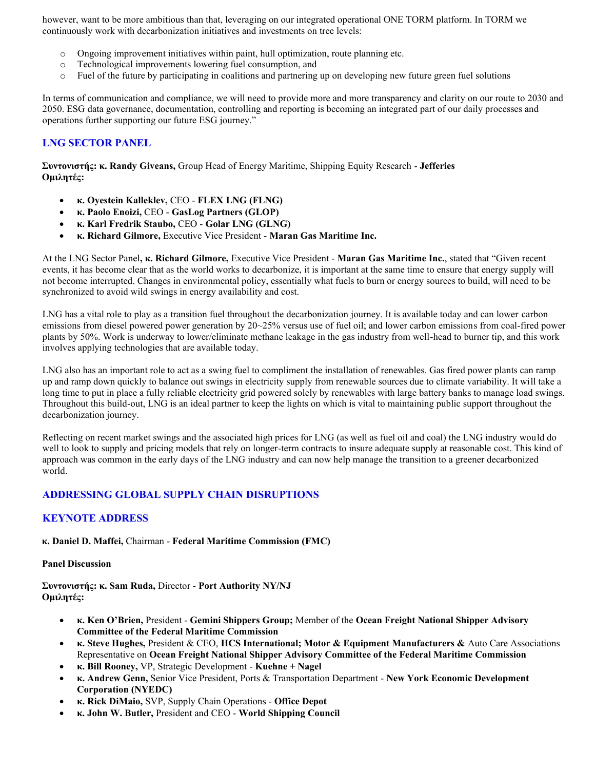however, want to be more ambitious than that, leveraging on our integrated operational ONE TORM platform. In TORM we continuously work with decarbonization initiatives and investments on tree levels:

- o Ongoing improvement initiatives within paint, hull optimization, route planning etc.
- o Technological improvements lowering fuel consumption, and
- o Fuel of the future by participating in coalitions and partnering up on developing new future green fuel solutions

In terms of communication and compliance, we will need to provide more and more transparency and clarity on our route to 2030 and 2050. ESG data governance, documentation, controlling and reporting is becoming an integrated part of our daily processes and operations further supporting our future ESG journey."

## **LNG SECTOR PANEL**

**Συντονιστής: κ. Randy Giveans,** Group Head of Energy Maritime, Shipping Equity Research - **Jefferies Ομιλητές:**

- **κ. Oyestein Kalleklev,** CEO **FLEX LNG (FLNG)**
- **κ. Paolo Enoizi,** CEO **GasLog Partners (GLOP)**
- **κ. Karl Fredrik Staubo,** CEO **Golar LNG (GLNG)**
- **κ. Richard Gilmore,** Executive Vice President **Maran Gas Maritime Inc.**

At the LNG Sector Panel**, κ. Richard Gilmore,** Executive Vice President - **Maran Gas Maritime Inc.**, stated that "Given recent events, it has become clear that as the world works to decarbonize, it is important at the same time to ensure that energy supply will not become interrupted. Changes in environmental policy, essentially what fuels to burn or energy sources to build, will need to be synchronized to avoid wild swings in energy availability and cost.

LNG has a vital role to play as a transition fuel throughout the decarbonization journey. It is available today and can lower carbon emissions from diesel powered power generation by 20~25% versus use of fuel oil; and lower carbon emissions from coal-fired power plants by 50%. Work is underway to lower/eliminate methane leakage in the gas industry from well-head to burner tip, and this work involves applying technologies that are available today.

LNG also has an important role to act as a swing fuel to compliment the installation of renewables. Gas fired power plants can ramp up and ramp down quickly to balance out swings in electricity supply from renewable sources due to climate variability. It will take a long time to put in place a fully reliable electricity grid powered solely by renewables with large battery banks to manage load swings. Throughout this build-out, LNG is an ideal partner to keep the lights on which is vital to maintaining public support throughout the decarbonization journey.

Reflecting on recent market swings and the associated high prices for LNG (as well as fuel oil and coal) the LNG industry would do well to look to supply and pricing models that rely on longer-term contracts to insure adequate supply at reasonable cost. This kind of approach was common in the early days of the LNG industry and can now help manage the transition to a greener decarbonized world.

# **ADDRESSING GLOBAL SUPPLY CHAIN DISRUPTIONS**

#### **KEYNOTE ADDRESS**

**κ. Daniel D. Maffei,** Chairman - **Federal Maritime Commission (FMC)**

#### **Panel Discussion**

**Συντονιστής: κ. Sam Ruda,** Director - **Port Authority NY/NJ Ομιλητές:**

- **κ. Ken O'Brien,** President **Gemini Shippers Group;** Member of the **Ocean Freight National Shipper Advisory Committee of the Federal Maritime Commission**
- **κ. Steve Hughes,** President & CEO, **HCS International; Motor & Equipment Manufacturers &** Auto Care Associations Representative on **Ocean Freight National Shipper Advisory Committee of the Federal Maritime Commission**
- **κ. Bill Rooney,** VP, Strategic Development **Kuehne + Nagel**
- **κ. Andrew Genn,** Senior Vice President, Ports & Transportation Department **New York Economic Development Corporation (NYEDC)**
- **κ. Rick DiMaio,** SVP, Supply Chain Operations **Office Depot**
- **κ. John W. Butler,** President and CEO **World Shipping Council**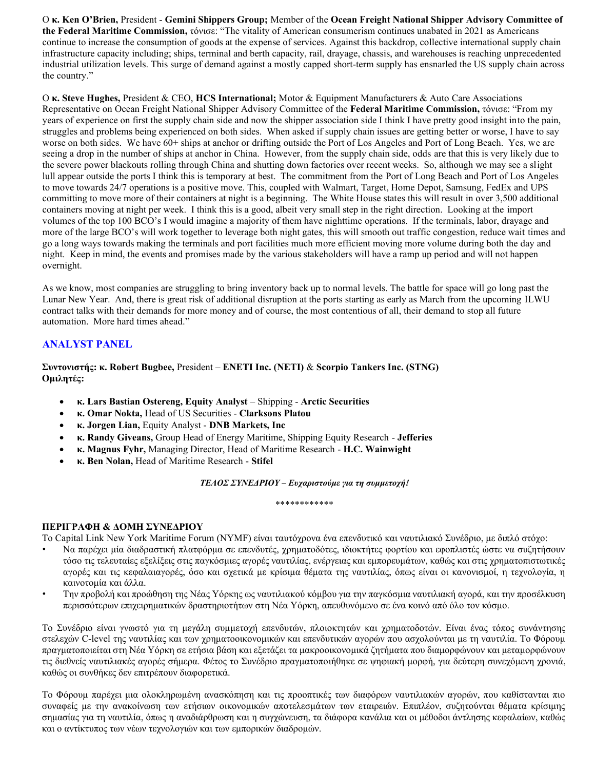Ο **κ. Ken O'Brien,** President - **Gemini Shippers Group;** Member of the **Ocean Freight National Shipper Advisory Committee of the Federal Maritime Commission,** τόνισε: "The vitality of American consumerism continues unabated in 2021 as Americans continue to increase the consumption of goods at the expense of services. Against this backdrop, collective international supply chain infrastructure capacity including; ships, terminal and berth capacity, rail, drayage, chassis, and warehouses is reaching unprecedented industrial utilization levels. This surge of demand against a mostly capped short-term supply has ensnarled the US supply chain across the country."

Ο **κ. Steve Hughes,** President & CEO, **HCS International;** Motor & Equipment Manufacturers & Auto Care Associations Representative on Ocean Freight National Shipper Advisory Committee of the **Federal Maritime Commission,** τόνισε: "From my years of experience on first the supply chain side and now the shipper association side I think I have pretty good insight into the pain, struggles and problems being experienced on both sides. When asked if supply chain issues are getting better or worse, I have to say worse on both sides. We have  $60+$  ships at anchor or drifting outside the Port of Los Angeles and Port of Long Beach. Yes, we are seeing a drop in the number of ships at anchor in China. However, from the supply chain side, odds are that this is very likely due to the severe power blackouts rolling through China and shutting down factories over recent weeks. So, although we may see a slight lull appear outside the ports I think this is temporary at best. The commitment from the Port of Long Beach and Port of Los Angeles to move towards 24/7 operations is a positive move. This, coupled with Walmart, Target, Home Depot, Samsung, FedEx and UPS committing to move more of their containers at night is a beginning. The White House states this will result in over 3,500 additional containers moving at night per week. I think this is a good, albeit very small step in the right direction. Looking at the import volumes of the top 100 BCO's I would imagine a majority of them have nighttime operations. If the terminals, labor, drayage and more of the large BCO's will work together to leverage both night gates, this will smooth out traffic congestion, reduce wait times and go a long ways towards making the terminals and port facilities much more efficient moving more volume during both the day and night. Keep in mind, the events and promises made by the various stakeholders will have a ramp up period and will not happen overnight.

As we know, most companies are struggling to bring inventory back up to normal levels. The battle for space will go long past the Lunar New Year. And, there is great risk of additional disruption at the ports starting as early as March from the upcoming ILWU contract talks with their demands for more money and of course, the most contentious of all, their demand to stop all future automation. More hard times ahead."

# **ANALYST PANEL**

**Συντονιστής: κ. Robert Bugbee,** President – **ENETI Inc. (NETI)** & **Scorpio Tankers Inc. (STNG) Ομιλητές:**

- **κ. Lars Bastian Ostereng, Equity Analyst**  Shipping **Arctic Securities**
- **κ. Omar Nokta,** Head of US Securities **Clarksons Platou**
- **κ. Jorgen Lian,** Equity Analyst **DNB Markets, Inc**
- **κ. Randy Giveans,** Group Head of Energy Maritime, Shipping Equity Research **Jefferies**
- **κ. Magnus Fyhr,** Managing Director, Head of Maritime Research **H.C. Wainwight**
- **κ. Ben Nolan,** Head of Maritime Research **Stifel**

*ΤΕΛΟΣ ΣΥΝΕΔΡΙΟΥ – Ευχαριστούμε για τη συμμετοχή!*

#### \*\*\*\*\*\*\*\*\*\*\*\*

#### **ΠΕΡΙΓΡΑΦΗ & ΔΟΜΗ ΣΥΝΕΔΡΙΟΥ**

Το Capital Link New York Maritime Forum (NYMF) είναι ταυτόχρονα ένα επενδυτικό και ναυτιλιακό Συνέδριο, με διπλό στόχο:

- Να παρέχει μία διαδραστική πλατφόρμα σε επενδυτές, χρηματοδότες, ιδιοκτήτες φορτίου και εφοπλιστές ώστε να συζητήσουν τόσο τις τελευταίες εξελίξεις στις παγκόσμιες αγορές ναυτιλίας, ενέργειας και εμπορευμάτων, καθώς και στις χρηματοπιστωτικές αγορές και τις κεφαλαιαγορές, όσο και σχετικά με κρίσιμα θέματα της ναυτιλίας, όπως είναι οι κανονισμοί, η τεχνολογία, η καινοτομία και άλλα.
- Την προβολή και προώθηση της Νέας Υόρκης ως ναυτιλιακού κόμβου για την παγκόσμια ναυτιλιακή αγορά, και την προσέλκυση περισσότερων επιχειρηματικών δραστηριοτήτων στη Νέα Υόρκη, απευθυνόμενο σε ένα κοινό από όλο τον κόσμο.

Το Συνέδριο είναι γνωστό για τη μεγάλη συμμετοχή επενδυτών, πλοιοκτητών και χρηματοδοτών. Είναι ένας τόπος συνάντησης στελεχών C-level της ναυτιλίας και των χρηματοοικονομικών και επενδυτικών αγορών που ασχολούνται με τη ναυτιλία. Το Φόρουμ πραγματοποιείται στη Νέα Υόρκη σε ετήσια βάση και εξετάζει τα μακροοικονομικά ζητήματα που διαμορφώνουν και μεταμορφώνουν τις διεθνείς ναυτιλιακές αγορές σήμερα. Φέτος το Συνέδριο πραγματοποιήθηκε σε ψηφιακή μορφή, για δεύτερη συνεχόμενη χρονιά, καθώς οι συνθήκες δεν επιτρέπουν διαφορετικά.

Το Φόρουμ παρέχει μια ολοκληρωμένη ανασκόπηση και τις προοπτικές των διαφόρων ναυτιλιακών αγορών, που καθίστανται πιο συναφείς με την ανακοίνωση των ετήσιων οικονομικών αποτελεσμάτων των εταιρειών. Επιπλέον, συζητούνται θέματα κρίσιμης σημασίας για τη ναυτιλία, όπως η αναδιάρθρωση και η συγχώνευση, τα διάφορα κανάλια και οι μέθοδοι άντλησης κεφαλαίων, καθώς και ο αντίκτυπος των νέων τεχνολογιών και των εμπορικών διαδρομών.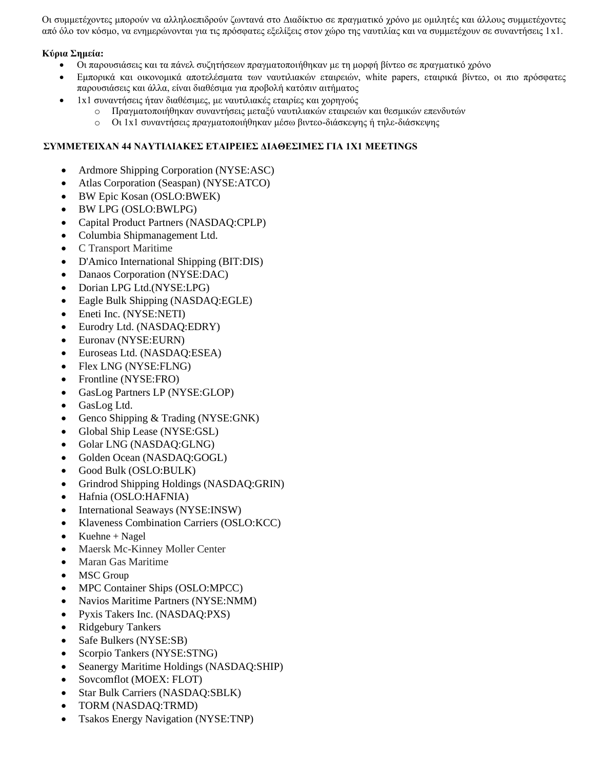Οι συμμετέχοντες μπορούν να αλληλοεπιδρούν ζωντανά στο Διαδίκτυο σε πραγματικό χρόνο με ομιλητές και άλλους συμμετέχοντες από όλο τον κόσμο, να ενημερώνονται για τις πρόσφατες εξελίξεις στον χώρο της ναυτιλίας και να συμμετέχουν σε συναντήσεις 1x1.

## **Κύρια Σημεία:**

- Οι παρουσιάσεις και τα πάνελ συζητήσεων πραγματοποιήθηκαν με τη μορφή βίντεο σε πραγματικό χρόνο
- Εμπορικά και οικονομικά αποτελέσματα των ναυτιλιακών εταιρειών, white papers, εταιρικά βίντεο, οι πιο πρόσφατες παρουσιάσεις και άλλα, είναι διαθέσιμα για προβολή κατόπιν αιτήματος
- 1x1 συναντήσεις ήταν διαθέσιμες, με ναυτιλιακές εταιρίες και χορηγούς
	- o Πραγματοποιήθηκαν συναντήσεις μεταξύ ναυτιλιακών εταιρειών και θεσμικών επενδυτών
	- o Οι 1x1 συναντήσεις πραγματοποιήθηκαν μέσω βιντεο-διάσκεψης ή τηλε-διάσκεψης

## **ΣΥΜΜΕΤΕΙΧΑΝ 44 ΝΑΥΤΙΛΙΑΚΕΣ ΕΤΑΙΡΕΙΕΣ ΔΙΑΘΕΣΙΜΕΣ ΓΙΑ 1Χ1 MEETINGS**

- Ardmore Shipping Corporation (NYSE:ASC)
- Atlas Corporation (Seaspan) (NYSE:ATCO)
- BW Epic Kosan (OSLO:BWEK)
- BW LPG (OSLO:BWLPG)
- Capital Product Partners (NASDAQ:CPLP)
- Columbia Shipmanagement Ltd.
- C Transport Maritime
- D'Amico International Shipping (BIT:DIS)
- Danaos Corporation (NYSE:DAC)
- Dorian LPG Ltd.(NYSE:LPG)
- Eagle Bulk Shipping (NASDAQ:EGLE)
- Eneti Inc. (NYSE:NETI)
- Eurodry Ltd. (NASDAQ:EDRY)
- Euronav (NYSE:EURN)
- Euroseas Ltd. (NASDAQ:ESEA)
- Flex LNG (NYSE:FLNG)
- Frontline (NYSE:FRO)
- GasLog Partners LP (NYSE:GLOP)
- GasLog Ltd.
- Genco Shipping & Trading (NYSE:GNK)
- Global Ship Lease (NYSE:GSL)
- Golar LNG (NASDAQ:GLNG)
- Golden Ocean (NASDAQ:GOGL)
- Good Bulk (OSLO:BULK)
- Grindrod Shipping Holdings (NASDAQ:GRIN)
- Hafnia (OSLO:HAFNIA)
- International Seaways (NYSE:INSW)
- Klaveness Combination Carriers (OSLO:KCC)
- Kuehne + Nagel
- Maersk Mc-Kinney Moller Center
- Maran Gas Maritime
- **MSC** Group
- MPC Container Ships (OSLO:MPCC)
- Navios Maritime Partners (NYSE:NMM)
- Pyxis Takers Inc. (NASDAQ:PXS)
- Ridgebury Tankers
- Safe Bulkers (NYSE:SB)
- Scorpio Tankers (NYSE:STNG)
- Seanergy Maritime Holdings (NASDAQ:SHIP)
- Sovcomflot (MOEX: FLOT)
- Star Bulk Carriers (NASDAQ:SBLK)
- TORM (NASDAQ:TRMD)
- Tsakos Energy Navigation (NYSE:TNP)